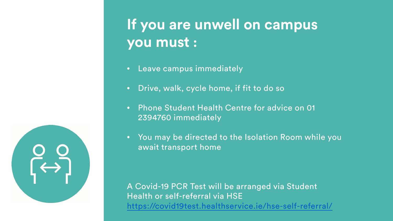## **If you are unwell on campus you must :**

- Leave campus immediately
- Drive, walk, cycle home, if fit to do so
- Phone Student Health Centre for advice on 01 2394760 immediately
- You may be directed to the Isolation Room while you await transport home

A Covid-19 PCR Test will be arranged via Student Health or self-referral via HSE <https://covid19test.healthservice.ie/hse-self-referral/>

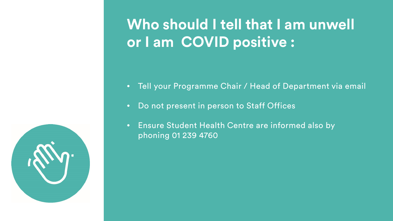

## **Who should I tell that I am unwell or I am COVID positive :**

- Tell your Programme Chair / Head of Department via email
- Do not present in person to Staff Offices
- Ensure Student Health Centre are informed also by phoning 01 239 4760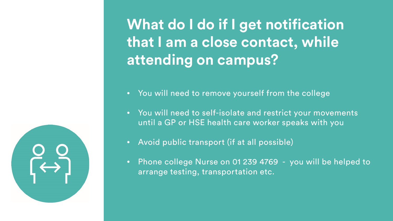**What do I do if I get notification that I am a close contact, while attending on campus?** 

- You will need to remove yourself from the college
- You will need to self-isolate and restrict your movements until a GP or HSE health care worker speaks with you
- Avoid public transport (if at all possible)
- Phone college Nurse on 01 239 4769 you will be helped to arrange testing, transportation etc.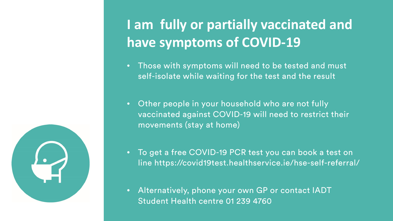

## **I am fully or partially vaccinated and have symptoms of COVID-19**

- Those with symptoms will need to be tested and must self-isolate while waiting for the test and the result
- Other people in your household who are not fully vaccinated against COVID-19 will need to restrict their movements (stay at home)
- To get a free COVID-19 PCR test you can book a test on line https://covid19test.healthservice.ie/hse-self-referral/
- Alternatively, phone your own GP or contact IADT Student Health centre 01 239 4760